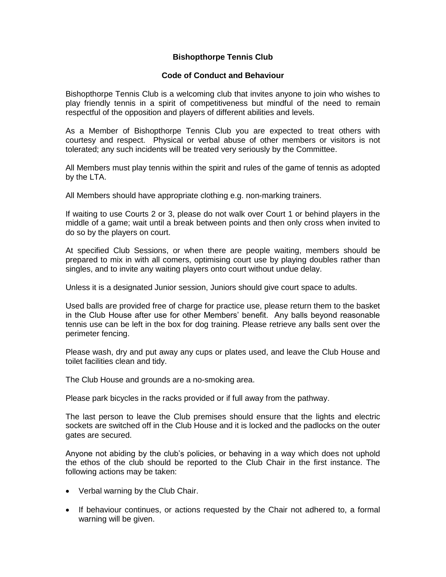## **Bishopthorpe Tennis Club**

## **Code of Conduct and Behaviour**

Bishopthorpe Tennis Club is a welcoming club that invites anyone to join who wishes to play friendly tennis in a spirit of competitiveness but mindful of the need to remain respectful of the opposition and players of different abilities and levels.

As a Member of Bishopthorpe Tennis Club you are expected to treat others with courtesy and respect. Physical or verbal abuse of other members or visitors is not tolerated; any such incidents will be treated very seriously by the Committee.

All Members must play tennis within the spirit and rules of the game of tennis as adopted by the LTA.

All Members should have appropriate clothing e.g. non-marking trainers.

If waiting to use Courts 2 or 3, please do not walk over Court 1 or behind players in the middle of a game; wait until a break between points and then only cross when invited to do so by the players on court.

At specified Club Sessions, or when there are people waiting, members should be prepared to mix in with all comers, optimising court use by playing doubles rather than singles, and to invite any waiting players onto court without undue delay.

Unless it is a designated Junior session, Juniors should give court space to adults.

Used balls are provided free of charge for practice use, please return them to the basket in the Club House after use for other Members' benefit. Any balls beyond reasonable tennis use can be left in the box for dog training. Please retrieve any balls sent over the perimeter fencing.

Please wash, dry and put away any cups or plates used, and leave the Club House and toilet facilities clean and tidy.

The Club House and grounds are a no-smoking area.

Please park bicycles in the racks provided or if full away from the pathway.

The last person to leave the Club premises should ensure that the lights and electric sockets are switched off in the Club House and it is locked and the padlocks on the outer gates are secured.

Anyone not abiding by the club's policies, or behaving in a way which does not uphold the ethos of the club should be reported to the Club Chair in the first instance. The following actions may be taken:

- Verbal warning by the Club Chair.
- If behaviour continues, or actions requested by the Chair not adhered to, a formal warning will be given.